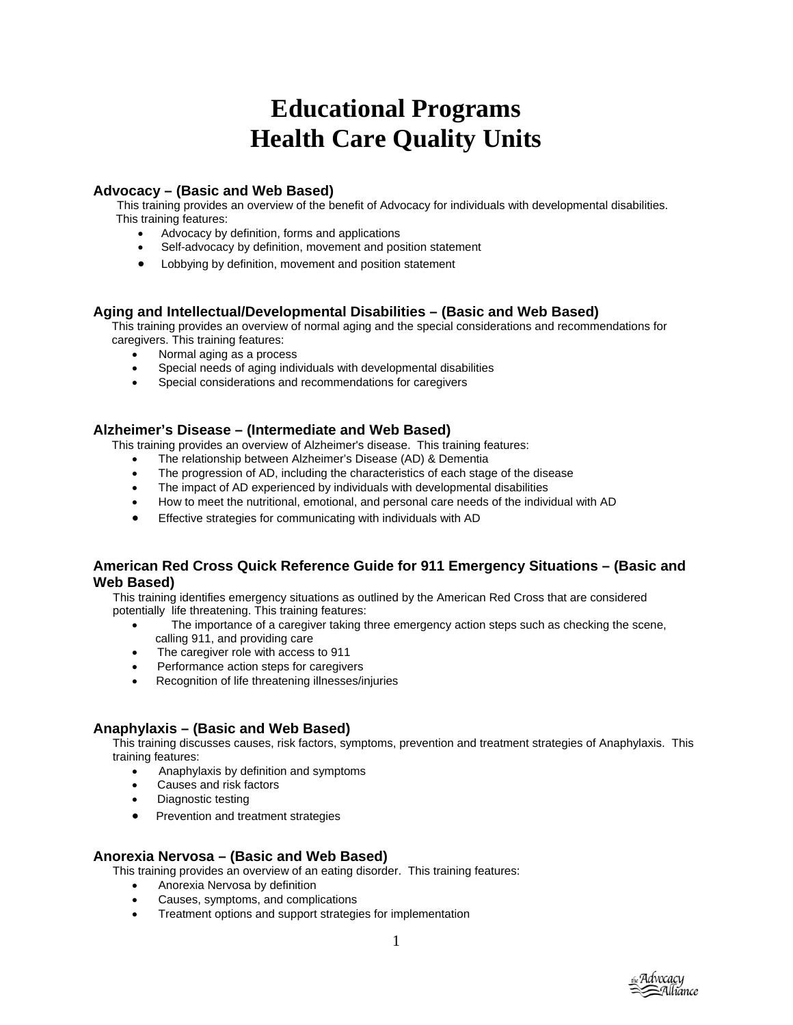# **Educational Programs Health Care Quality Units**

## **Advocacy – (Basic and Web Based)**

This training provides an overview of the benefit of Advocacy for individuals with developmental disabilities. This training features:

- Advocacy by definition, forms and applications
- Self-advocacy by definition, movement and position statement
- Lobbying by definition, movement and position statement

## **Aging and Intellectual/Developmental Disabilities – (Basic and Web Based)**

This training provides an overview of normal aging and the special considerations and recommendations for caregivers. This training features:

- Normal aging as a process
- Special needs of aging individuals with developmental disabilities
- Special considerations and recommendations for caregivers

## **Alzheimer's Disease – (Intermediate and Web Based)**

This training provides an overview of Alzheimer's disease. This training features:

- The relationship between Alzheimer's Disease (AD) & Dementia
- The progression of AD, including the characteristics of each stage of the disease
- The impact of AD experienced by individuals with developmental disabilities
- How to meet the nutritional, emotional, and personal care needs of the individual with AD
- Effective strategies for communicating with individuals with AD

## **American Red Cross Quick Reference Guide for 911 Emergency Situations – (Basic and Web Based)**

This training identifies emergency situations as outlined by the American Red Cross that are considered potentially life threatening. This training features:

- The importance of a caregiver taking three emergency action steps such as checking the scene, calling 911, and providing care
- The caregiver role with access to 911
- Performance action steps for caregivers
- Recognition of life threatening illnesses/injuries

## **Anaphylaxis – (Basic and Web Based)**

 This training discusses causes, risk factors, symptoms, prevention and treatment strategies of Anaphylaxis. This training features:

- Anaphylaxis by definition and symptoms
- Causes and risk factors
- Diagnostic testing
- Prevention and treatment strategies

#### **Anorexia Nervosa – (Basic and Web Based)**

This training provides an overview of an eating disorder. This training features:

- Anorexia Nervosa by definition
- Causes, symptoms, and complications
- Treatment options and support strategies for implementation

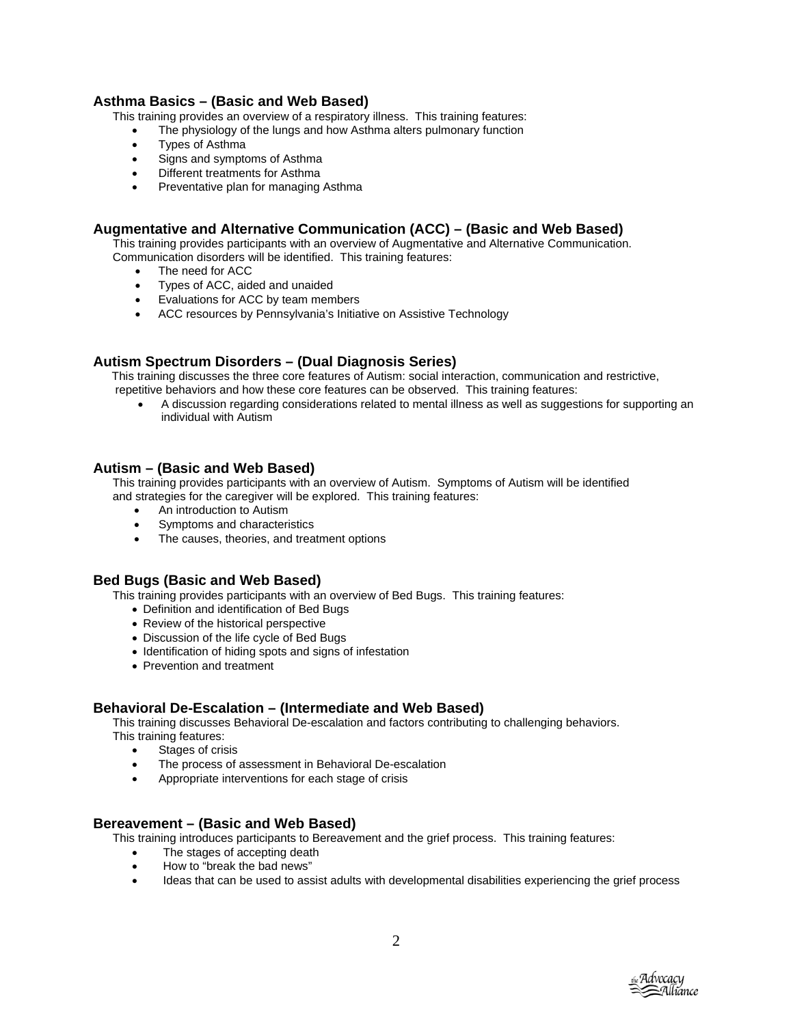## **Asthma Basics – (Basic and Web Based)**

This training provides an overview of a respiratory illness. This training features:

- The physiology of the lungs and how Asthma alters pulmonary function
- Types of Asthma
- Signs and symptoms of Asthma
- Different treatments for Asthma
- Preventative plan for managing Asthma

## **Augmentative and Alternative Communication (ACC) – (Basic and Web Based)**

This training provides participants with an overview of Augmentative and Alternative Communication. Communication disorders will be identified. This training features:

- The need for ACC
- Types of ACC, aided and unaided
- Evaluations for ACC by team members
- ACC resources by Pennsylvania's Initiative on Assistive Technology

## **Autism Spectrum Disorders – (Dual Diagnosis Series)**

This training discusses the three core features of Autism: social interaction, communication and restrictive,

repetitive behaviors and how these core features can be observed. This training features:

• A discussion regarding considerations related to mental illness as well as suggestions for supporting an individual with Autism

## **Autism – (Basic and Web Based)**

 This training provides participants with an overview of Autism. Symptoms of Autism will be identified and strategies for the caregiver will be explored. This training features:

- An introduction to Autism
- Symptoms and characteristics
- The causes, theories, and treatment options

#### **Bed Bugs (Basic and Web Based)**

This training provides participants with an overview of Bed Bugs. This training features:

- Definition and identification of Bed Bugs
- Review of the historical perspective
- Discussion of the life cycle of Bed Bugs
- Identification of hiding spots and signs of infestation
- Prevention and treatment

#### **Behavioral De-Escalation – (Intermediate and Web Based)**

 This training discusses Behavioral De-escalation and factors contributing to challenging behaviors. This training features:

- Stages of crisis
- The process of assessment in Behavioral De-escalation
- Appropriate interventions for each stage of crisis

#### **Bereavement – (Basic and Web Based)**

This training introduces participants to Bereavement and the grief process. This training features:

- The stages of accepting death
- How to "break the bad news"
- Ideas that can be used to assist adults with developmental disabilities experiencing the grief process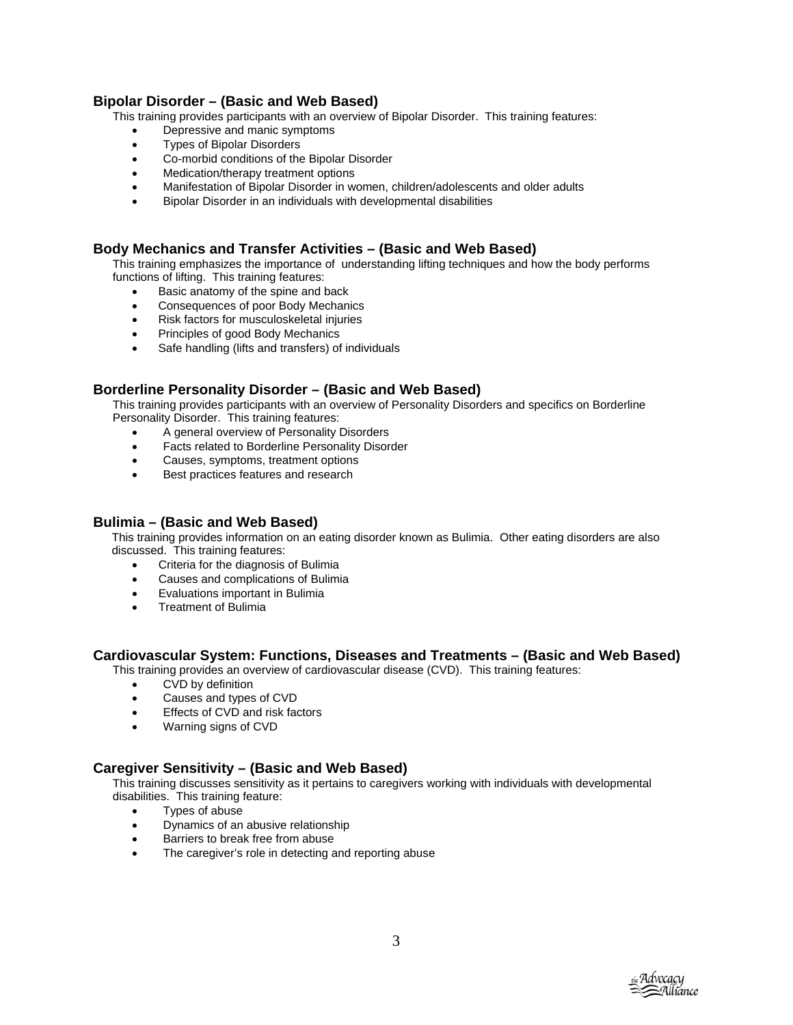## **Bipolar Disorder – (Basic and Web Based)**

This training provides participants with an overview of Bipolar Disorder. This training features:

- Depressive and manic symptoms
- Types of Bipolar Disorders
- Co-morbid conditions of the Bipolar Disorder
- Medication/therapy treatment options
- Manifestation of Bipolar Disorder in women, children/adolescents and older adults
- Bipolar Disorder in an individuals with developmental disabilities

## **Body Mechanics and Transfer Activities – (Basic and Web Based)**

 This training emphasizes the importance of understanding lifting techniques and how the body performs functions of lifting. This training features:

- Basic anatomy of the spine and back
- Consequences of poor Body Mechanics
- Risk factors for musculoskeletal injuries
- Principles of good Body Mechanics
- Safe handling (lifts and transfers) of individuals

## **Borderline Personality Disorder – (Basic and Web Based)**

 This training provides participants with an overview of Personality Disorders and specifics on Borderline Personality Disorder. This training features:

- A general overview of Personality Disorders
- Facts related to Borderline Personality Disorder
- Causes, symptoms, treatment options
- Best practices features and research

## **Bulimia – (Basic and Web Based)**

This training provides information on an eating disorder known as Bulimia. Other eating disorders are also discussed. This training features:

- Criteria for the diagnosis of Bulimia
- Causes and complications of Bulimia
- Evaluations important in Bulimia
- Treatment of Bulimia

#### **Cardiovascular System: Functions, Diseases and Treatments – (Basic and Web Based)**

This training provides an overview of cardiovascular disease (CVD). This training features:

- CVD by definition
- Causes and types of CVD
- Effects of CVD and risk factors
- Warning signs of CVD

#### **Caregiver Sensitivity – (Basic and Web Based)**

 This training discusses sensitivity as it pertains to caregivers working with individuals with developmental disabilities. This training feature:

- Types of abuse
- Dynamics of an abusive relationship
- Barriers to break free from abuse
- The caregiver's role in detecting and reporting abuse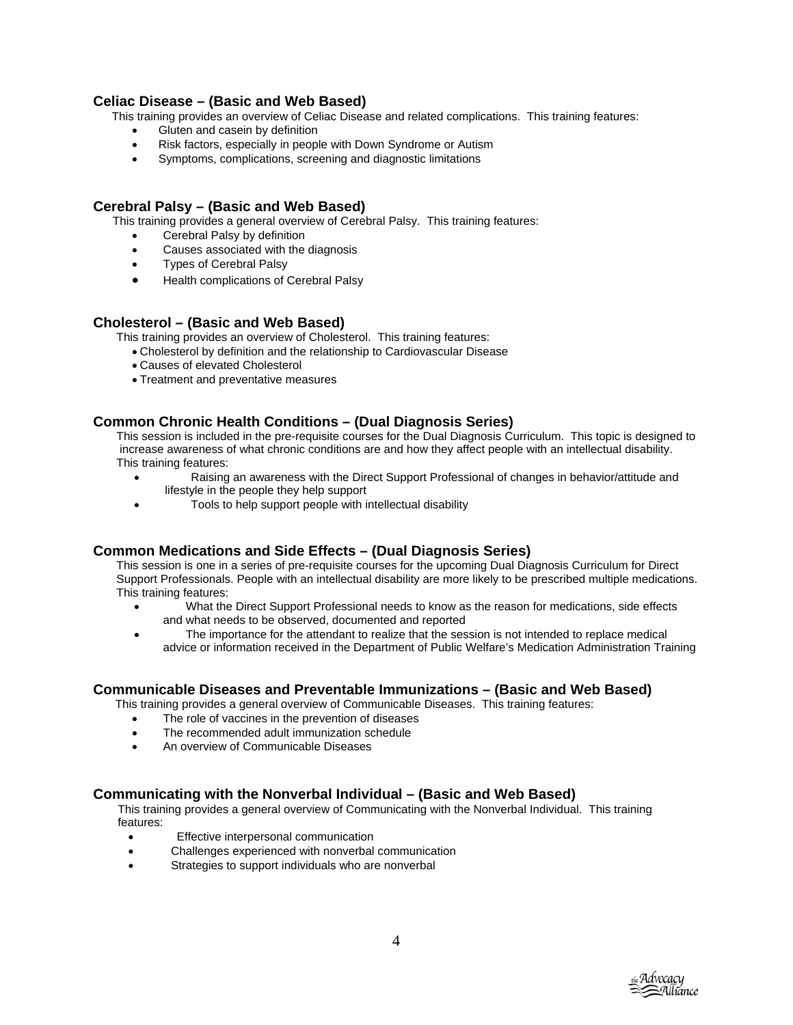## **Celiac Disease – (Basic and Web Based)**

This training provides an overview of Celiac Disease and related complications. This training features:

- Gluten and casein by definition
- Risk factors, especially in people with Down Syndrome or Autism
- Symptoms, complications, screening and diagnostic limitations

## **Cerebral Palsy – (Basic and Web Based)**

This training provides a general overview of Cerebral Palsy. This training features:

- Cerebral Palsy by definition
- Causes associated with the diagnosis
- Types of Cerebral Palsy
- Health complications of Cerebral Palsy

#### **Cholesterol – (Basic and Web Based)**

This training provides an overview of Cholesterol. This training features:

- Cholesterol by definition and the relationship to Cardiovascular Disease
- Causes of elevated Cholesterol
- Treatment and preventative measures

## **Common Chronic Health Conditions – (Dual Diagnosis Series)**

This session is included in the pre-requisite courses for the Dual Diagnosis Curriculum. This topic is designed to increase awareness of what chronic conditions are and how they affect people with an intellectual disability. This training features:

- Raising an awareness with the Direct Support Professional of changes in behavior/attitude and lifestyle in the people they help support
- Tools to help support people with intellectual disability

#### **Common Medications and Side Effects – (Dual Diagnosis Series)**

This session is one in a series of pre-requisite courses for the upcoming Dual Diagnosis Curriculum for Direct Support Professionals. People with an intellectual disability are more likely to be prescribed multiple medications. This training features:

- and what needs to be observed, documented and reported • What the Direct Support Professional needs to know as the reason for medications, side effects
- advice or information received in the Department of Public Welfare's Medication Administration Training • The importance for the attendant to realize that the session is not intended to replace medical

#### **Communicable Diseases and Preventable Immunizations – (Basic and Web Based)**

This training provides a general overview of Communicable Diseases. This training features:

- The role of vaccines in the prevention of diseases
- The recommended adult immunization schedule
- An overview of Communicable Diseases

#### **Communicating with the Nonverbal Individual – (Basic and Web Based)**

 This training provides a general overview of Communicating with the Nonverbal Individual. This training features:

- Effective interpersonal communication
- Challenges experienced with nonverbal communication
- Strategies to support individuals who are nonverbal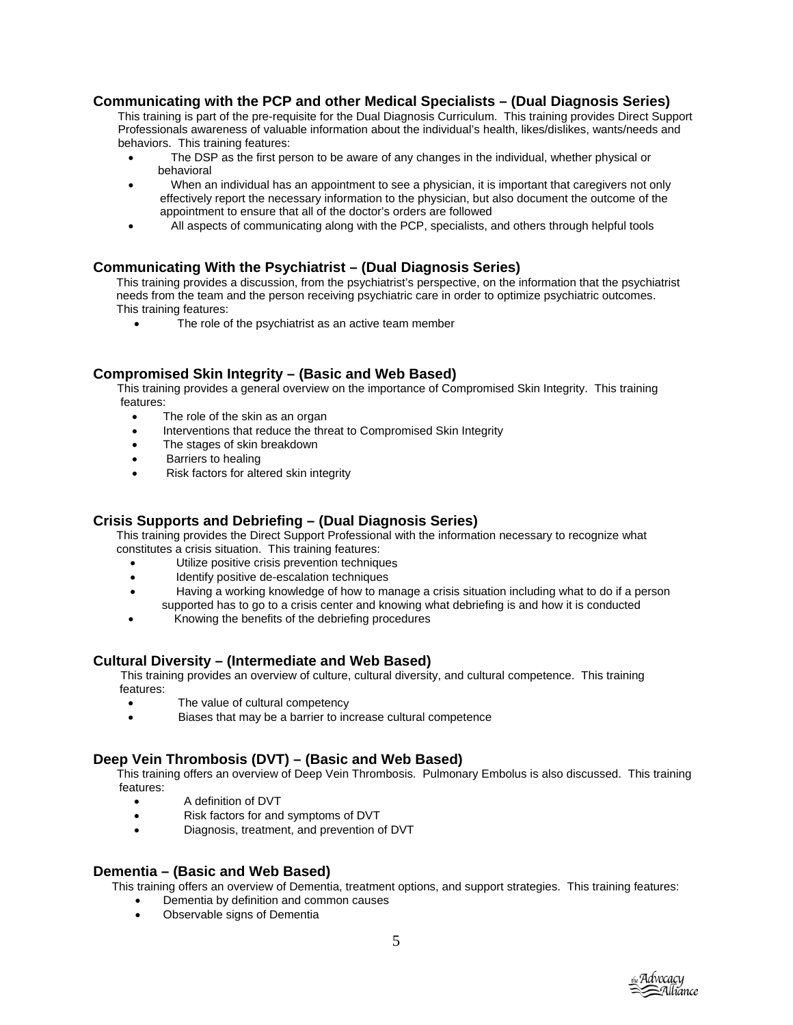## **Communicating with the PCP and other Medical Specialists – (Dual Diagnosis Series)**

 This training is part of the pre-requisite for the Dual Diagnosis Curriculum. This training provides Direct Support Professionals awareness of valuable information about the individual's health, likes/dislikes, wants/needs and behaviors. This training features:

- The DSP as the first person to be aware of any changes in the individual, whether physical or behavioral
- When an individual has an appointment to see a physician, it is important that caregivers not only effectively report the necessary information to the physician, but also document the outcome of the appointment to ensure that all of the doctor's orders are followed
- All aspects of communicating along with the PCP, specialists, and others through helpful tools

## **Communicating With the Psychiatrist – (Dual Diagnosis Series)**

This training provides a discussion, from the psychiatrist's perspective, on the information that the psychiatrist needs from the team and the person receiving psychiatric care in order to optimize psychiatric outcomes. This training features:

• The role of the psychiatrist as an active team member

## **Compromised Skin Integrity – (Basic and Web Based)**

 This training provides a general overview on the importance of Compromised Skin Integrity. This training features:

- The role of the skin as an organ
- Interventions that reduce the threat to Compromised Skin Integrity
- The stages of skin breakdown
- Barriers to healing
- Risk factors for altered skin integrity

## **Crisis Supports and Debriefing – (Dual Diagnosis Series)**

This training provides the Direct Support Professional with the information necessary to recognize what constitutes a crisis situation. This training features:

- Utilize positive crisis prevention techniques
- Identify positive de-escalation techniques
- • Having a working knowledge of how to manage a crisis situation including what to do if a person supported has to go to a crisis center and knowing what debriefing is and how it is conducted
- Knowing the benefits of the debriefing procedures

## **Cultural Diversity – (Intermediate and Web Based)**

This training provides an overview of culture, cultural diversity, and cultural competence. This training features:

- The value of cultural competency
- e Biases that may be a barrier to increase cultural competenc

## **Deep Vein Thrombosis (DVT) – (Basic and Web Based)**

This training offers an overview of Deep Vein Thrombosis. Pulmonary Embolus is also discussed. This training features:

- A definition of DVT
- Risk factors for and symptoms of DVT
- Diagnosis, treatment, and prevention of DVT

#### **Dementia – (Basic and Web Based)**

This training offers an overview of Dementia, treatment options, and support strategies. This training features:

- Dementia by definition and common causes
- Observable signs of Dementia

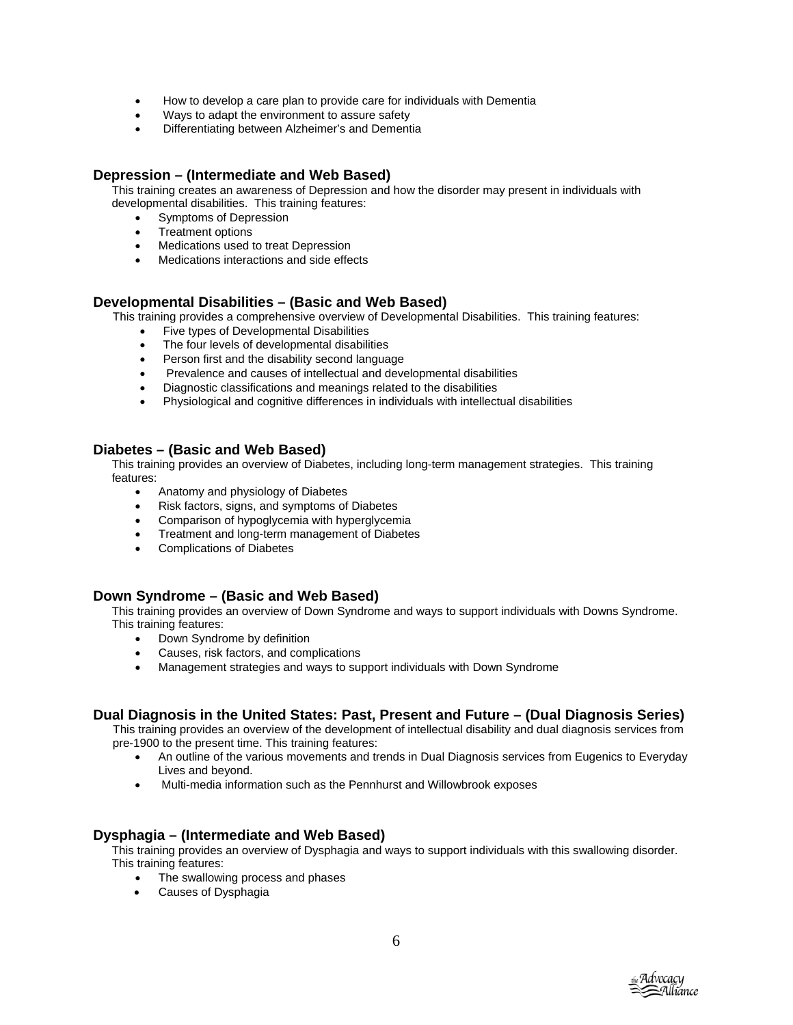- How to develop a care plan to provide care for individuals with Dementia
- Ways to adapt the environment to assure safety
- Differentiating between Alzheimer's and Dementia

## **Depression – (Intermediate and Web Based)**

This training creates an awareness of Depression and how the disorder may present in individuals with developmental disabilities. This training features:

- Symptoms of Depression
- Treatment options
- Medications used to treat Depression
- Medications interactions and side effects

## **Developmental Disabilities – (Basic and Web Based)**

This training provides a comprehensive overview of Developmental Disabilities. This training features:

- Five types of Developmental Disabilities
- The four levels of developmental disabilities
- Person first and the disability second language
- Prevalence and causes of intellectual and developmental disabilities
- Diagnostic classifications and meanings related to the disabilities
- Physiological and cognitive differences in individuals with intellectual disabilities

## **Diabetes – (Basic and Web Based)**

This training provides an overview of Diabetes, including long-term management strategies. This training features:

- Anatomy and physiology of Diabetes
- Risk factors, signs, and symptoms of Diabetes
- Comparison of hypoglycemia with hyperglycemia
- Treatment and long-term management of Diabetes
- Complications of Diabetes

#### **Down Syndrome – (Basic and Web Based)**

This training provides an overview of Down Syndrome and ways to support individuals with Downs Syndrome. This training features:

- Down Syndrome by definition
- Causes, risk factors, and complications
- Management strategies and ways to support individuals with Down Syndrome

## **Dual Diagnosis in the United States: Past, Present and Future – (Dual Diagnosis Series)**

This training provides an overview of the development of intellectual disability and dual diagnosis services from pre-1900 to the present time. This training features:

- An outline of the various movements and trends in Dual Diagnosis services from Eugenics to Everyday Lives and beyond.
- Multi-media information such as the Pennhurst and Willowbrook exposes

#### **Dysphagia – (Intermediate and Web Based)**

This training provides an overview of Dysphagia and ways to support individuals with this swallowing disorder. This training features:

- The swallowing process and phases
- Causes of Dysphagia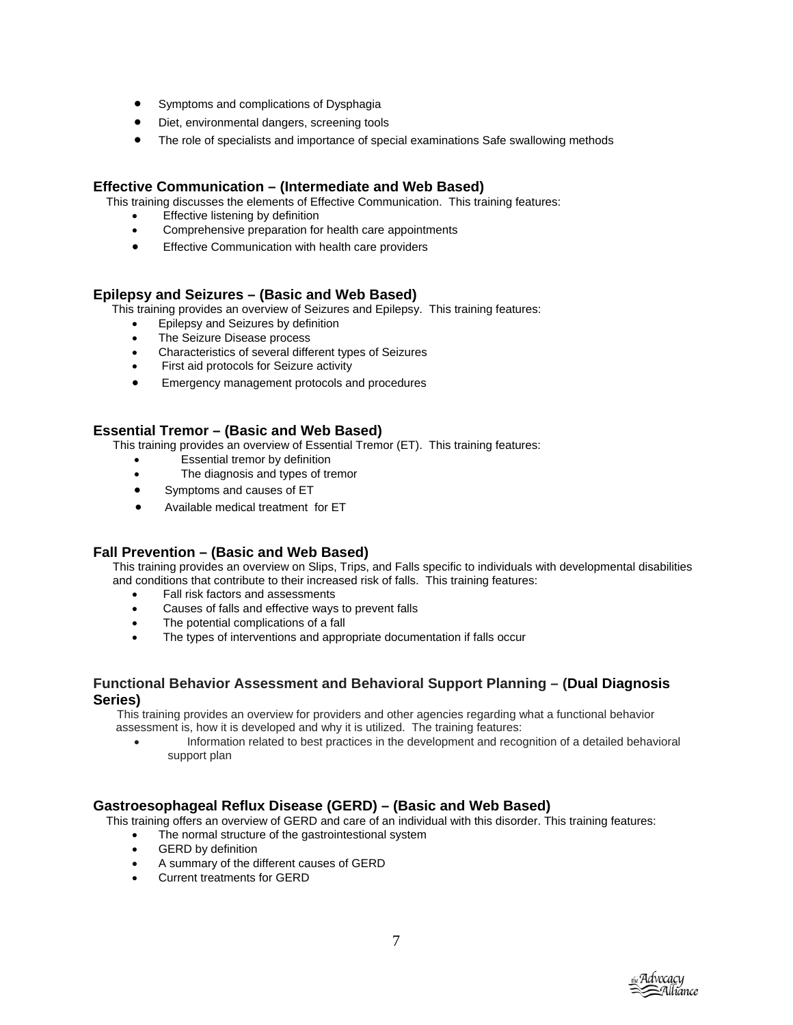- Symptoms and complications of Dysphagia
- Diet, environmental dangers, screening tools
- The role of specialists and importance of special examinations Safe swallowing methods

## **Effective Communication – (Intermediate and Web Based)**

This training discusses the elements of Effective Communication. This training features:

- Effective listening by definition
- Comprehensive preparation for health care appointments
- Effective Communication with health care providers

## **Epilepsy and Seizures – (Basic and Web Based)**

This training provides an overview of Seizures and Epilepsy. This training features:

- Epilepsy and Seizures by definition
- The Seizure Disease process
- Characteristics of several different types of Seizures
- First aid protocols for Seizure activity
- Emergency management protocols and procedures

## **Essential Tremor – (Basic and Web Based)**

This training provides an overview of Essential Tremor (ET). This training features:

- Essential tremor by definition
- The diagnosis and types of tremor
- Symptoms and causes of ET
- Available medical treatment for ET

## **Fall Prevention – (Basic and Web Based)**

 This training provides an overview on Slips, Trips, and Falls specific to individuals with developmental disabilities and conditions that contribute to their increased risk of falls. This training features:

- Fall risk factors and assessments
- Causes of falls and effective ways to prevent falls
- The potential complications of a fall
- The types of interventions and appropriate documentation if falls occur

## **Functional Behavior Assessment and Behavioral Support Planning – (Dual Diagnosis Series)**

 This training provides an overview for providers and other agencies regarding what a functional behavior assessment is, how it is developed and why it is utilized. The training features:

• Information related to best practices in the development and recognition of a detailed behavioral support plan

## **Gastroesophageal Reflux Disease (GERD) – (Basic and Web Based)**

This training offers an overview of GERD and care of an individual with this disorder. This training features:

- The normal structure of the gastrointestional system
- GERD by definition
- A summary of the different causes of GERD
- Current treatments for GERD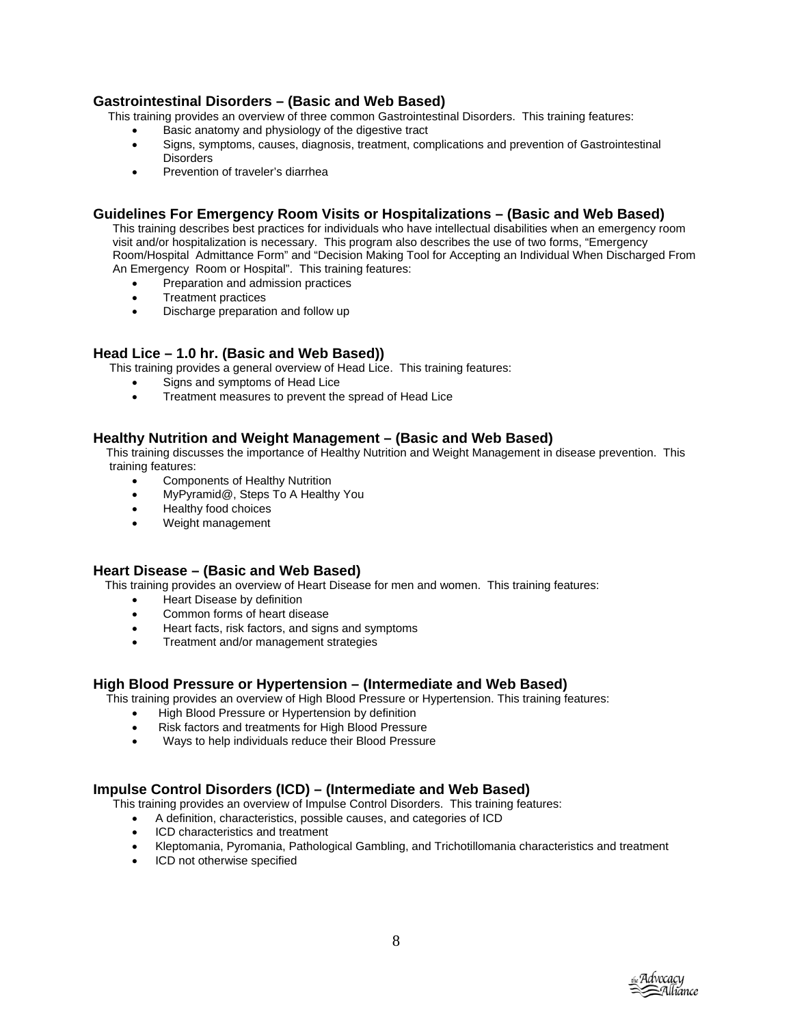## **Gastrointestinal Disorders – (Basic and Web Based)**

This training provides an overview of three common Gastrointestinal Disorders. This training features:

- Basic anatomy and physiology of the digestive tract
- Signs, symptoms, causes, diagnosis, treatment, complications and prevention of Gastrointestinal **Disorders**
- Prevention of traveler's diarrhea

## **Guidelines For Emergency Room Visits or Hospitalizations – (Basic and Web Based)**

 This training describes best practices for individuals who have intellectual disabilities when an emergency room visit and/or hospitalization is necessary. This program also describes the use of two forms, "Emergency Room/Hospital Admittance Form" and "Decision Making Tool for Accepting an Individual When Discharged From An Emergency Room or Hospital". This training features:

- Preparation and admission practices
- Treatment practices
- Discharge preparation and follow up

## **Head Lice – 1.0 hr. (Basic and Web Based))**

This training provides a general overview of Head Lice. This training features:

- Signs and symptoms of Head Lice
- Treatment measures to prevent the spread of Head Lice

## **Healthy Nutrition and Weight Management – (Basic and Web Based)**

 This training discusses the importance of Healthy Nutrition and Weight Management in disease prevention. This training features:

- Components of Healthy Nutrition
- MyPyramid@, Steps To A Healthy You
- Healthy food choices
- Weight management

#### **Heart Disease – (Basic and Web Based)**

This training provides an overview of Heart Disease for men and women. This training features:

- Heart Disease by definition
- Common forms of heart disease
- Heart facts, risk factors, and signs and symptoms
- Treatment and/or management strategies

#### **High Blood Pressure or Hypertension – (Intermediate and Web Based)**

This training provides an overview of High Blood Pressure or Hypertension. This training features:

- High Blood Pressure or Hypertension by definition
- Risk factors and treatments for High Blood Pressure
- Ways to help individuals reduce their Blood Pressure

## **Impulse Control Disorders (ICD) – (Intermediate and Web Based)**

This training provides an overview of Impulse Control Disorders. This training features:

- A definition, characteristics, possible causes, and categories of ICD
- ICD characteristics and treatment
- Kleptomania, Pyromania, Pathological Gambling, and Trichotillomania characteristics and treatment
- ICD not otherwise specified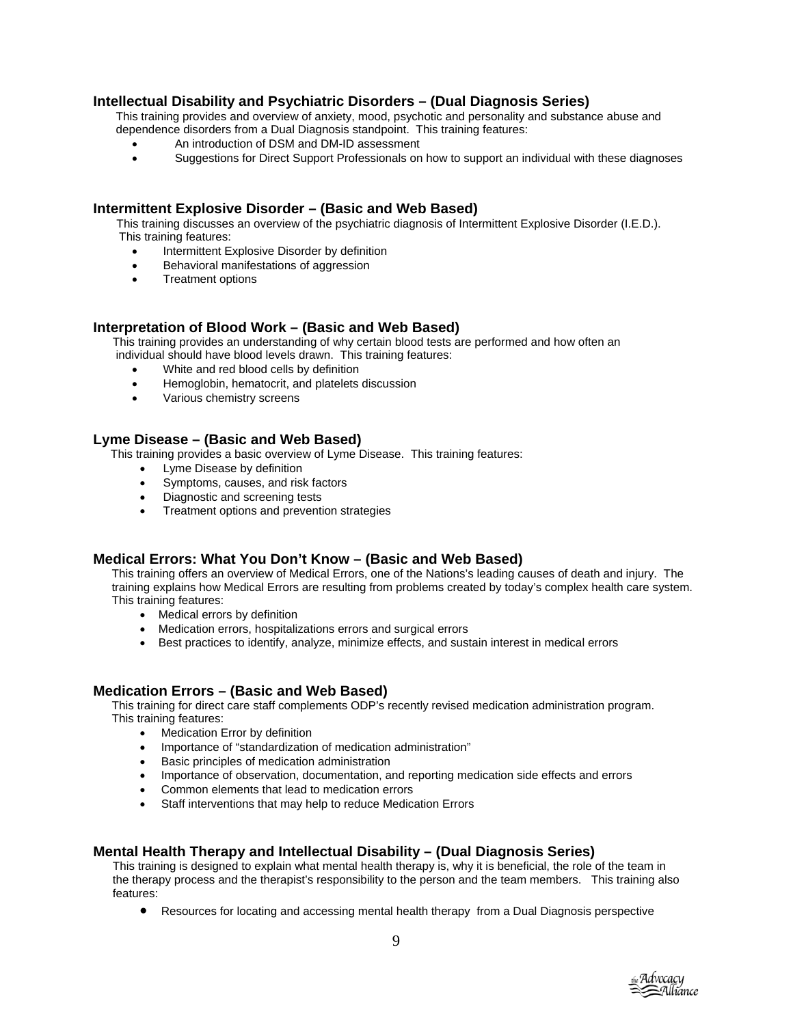## **Intellectual Disability and Psychiatric Disorders – (Dual Diagnosis Series)**

 This training provides and overview of anxiety, mood, psychotic and personality and substance abuse and dependence disorders from a Dual Diagnosis standpoint. This training features:

- An introduction of DSM and DM-ID assessment
- Suggestions for Direct Support Professionals on how to support an individual with these diagnoses

## **Intermittent Explosive Disorder – (Basic and Web Based)**

This training discusses an overview of the psychiatric diagnosis of Intermittent Explosive Disorder (I.E.D.). This training features:

- Intermittent Explosive Disorder by definition
- Behavioral manifestations of aggression
- Treatment options

#### **Interpretation of Blood Work – (Basic and Web Based)**

 This training provides an understanding of why certain blood tests are performed and how often an individual should have blood levels drawn. This training features:

- White and red blood cells by definition
- Hemoglobin, hematocrit, and platelets discussion
- Various chemistry screens

## **Lyme Disease – (Basic and Web Based)**

This training provides a basic overview of Lyme Disease. This training features:

- Lyme Disease by definition
- Symptoms, causes, and risk factors
- Diagnostic and screening tests
- Treatment options and prevention strategies

## **Medical Errors: What You Don't Know – (Basic and Web Based)**

This training offers an overview of Medical Errors, one of the Nations's leading causes of death and injury. The training explains how Medical Errors are resulting from problems created by today's complex health care system. This training features:

- Medical errors by definition
- Medication errors, hospitalizations errors and surgical errors
- Best practices to identify, analyze, minimize effects, and sustain interest in medical errors

#### **Medication Errors – (Basic and Web Based)**

This training for direct care staff complements ODP's recently revised medication administration program. This training features:

- Medication Error by definition
- Importance of "standardization of medication administration"
- Basic principles of medication administration
- Importance of observation, documentation, and reporting medication side effects and errors
- Common elements that lead to medication errors
- Staff interventions that may help to reduce Medication Errors

## **Mental Health Therapy and Intellectual Disability – (Dual Diagnosis Series)**

 This training is designed to explain what mental health therapy is, why it is beneficial, the role of the team in the therapy process and the therapist's responsibility to the person and the team members. This training also features:

• Resources for locating and accessing mental health therapy from a Dual Diagnosis perspective

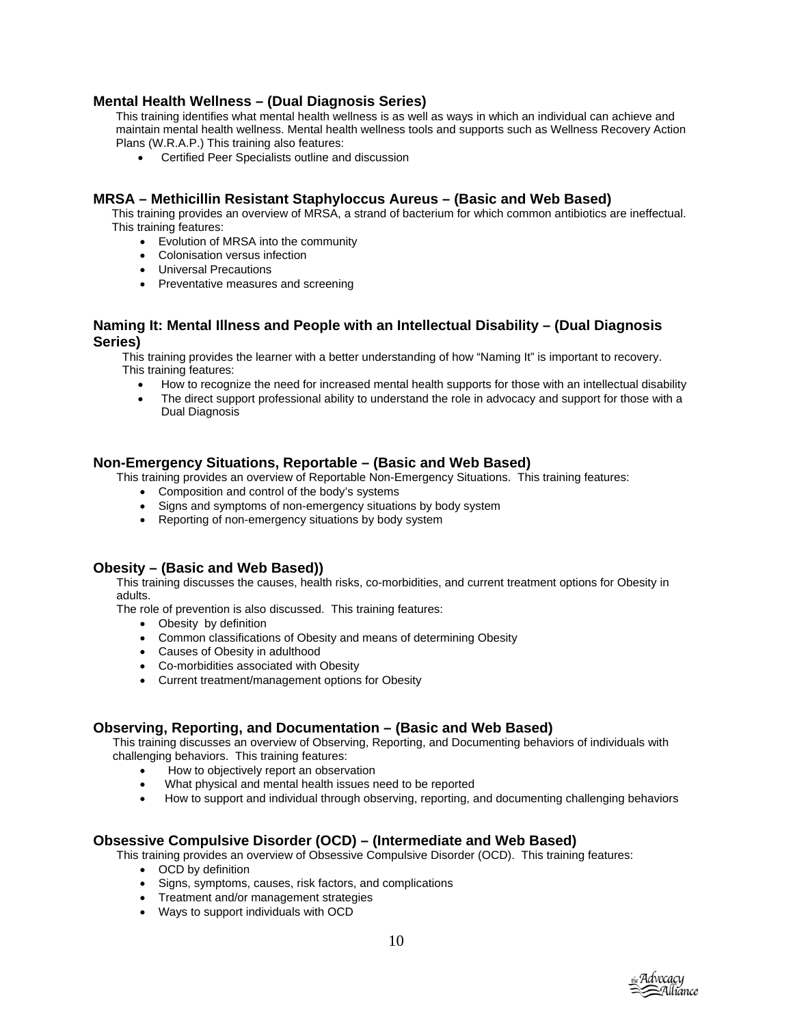## **Mental Health Wellness – (Dual Diagnosis Series)**

 This training identifies what mental health wellness is as well as ways in which an individual can achieve and maintain mental health wellness. Mental health wellness tools and supports such as Wellness Recovery Action Plans (W.R.A.P.) This training also features:

• Certified Peer Specialists outline and discussion

## **MRSA – Methicillin Resistant Staphyloccus Aureus – (Basic and Web Based)**

This training provides an overview of MRSA, a strand of bacterium for which common antibiotics are ineffectual. This training features:

- Evolution of MRSA into the community
- Colonisation versus infection
- Universal Precautions
- Preventative measures and screening

#### **Naming It: Mental Illness and People with an Intellectual Disability – (Dual Diagnosis Series)**

This training provides the learner with a better understanding of how "Naming It" is important to recovery. This training features:

- How to recognize the need for increased mental health supports for those with an intellectual disability
- The direct support professional ability to understand the role in advocacy and support for those with a Dual Diagnosis

#### **Non-Emergency Situations, Reportable – (Basic and Web Based)**

This training provides an overview of Reportable Non-Emergency Situations. This training features:

- Composition and control of the body's systems
- Signs and symptoms of non-emergency situations by body system
- Reporting of non-emergency situations by body system

#### **Obesity – (Basic and Web Based))**

This training discusses the causes, health risks, co-morbidities, and current treatment options for Obesity in adults.

The role of prevention is also discussed. This training features:

- Obesity by definition
- Common classifications of Obesity and means of determining Obesity
- Causes of Obesity in adulthood
- Co-morbidities associated with Obesity
- Current treatment/management options for Obesity

#### **Observing, Reporting, and Documentation – (Basic and Web Based)**

This training discusses an overview of Observing, Reporting, and Documenting behaviors of individuals with challenging behaviors. This training features:

- How to objectively report an observation
- What physical and mental health issues need to be reported
- How to support and individual through observing, reporting, and documenting challenging behaviors

#### **Obsessive Compulsive Disorder (OCD) – (Intermediate and Web Based)**

This training provides an overview of Obsessive Compulsive Disorder (OCD). This training features:

- OCD by definition
- Signs, symptoms, causes, risk factors, and complications
- Treatment and/or management strategies
- Ways to support individuals with OCD

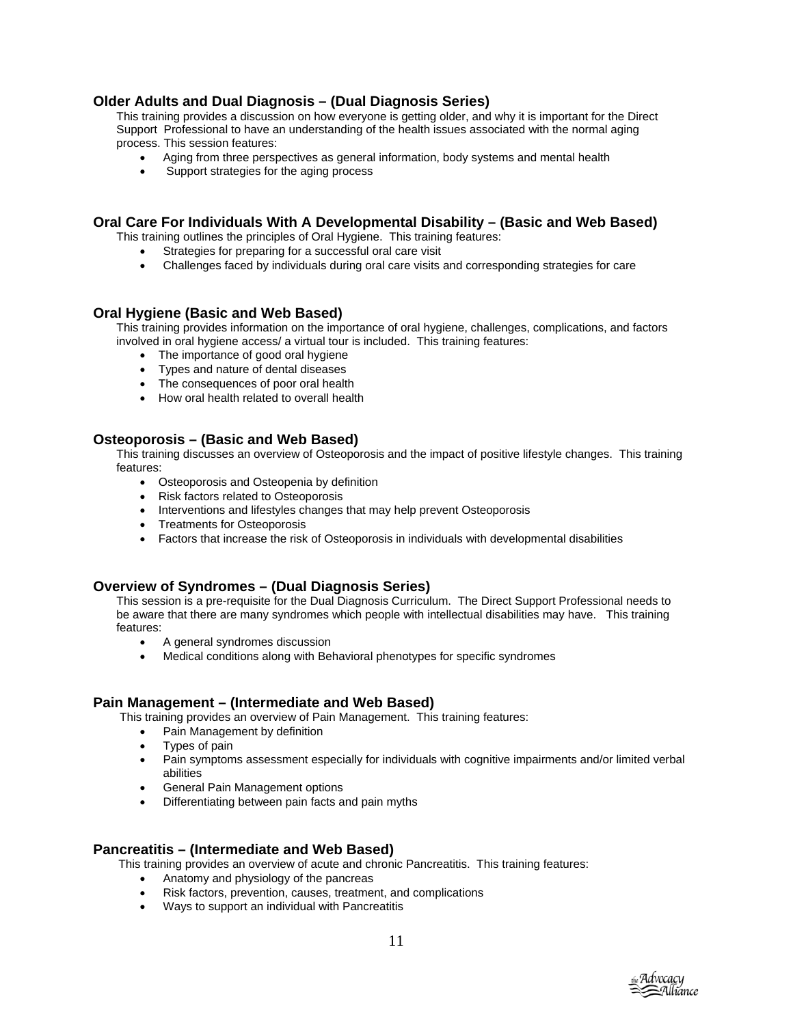## **Older Adults and Dual Diagnosis – (Dual Diagnosis Series)**

This training provides a discussion on how everyone is getting older, and why it is important for the Direct Support Professional to have an understanding of the health issues associated with the normal aging process. This session features:

- Aging from three perspectives as general information, body systems and mental health
- Support strategies for the aging process

## **Oral Care For Individuals With A Developmental Disability – (Basic and Web Based)**

This training outlines the principles of Oral Hygiene. This training features:

- Strategies for preparing for a successful oral care visit
- Challenges faced by individuals during oral care visits and corresponding strategies for care

## **Oral Hygiene (Basic and Web Based)**

This training provides information on the importance of oral hygiene, challenges, complications, and factors involved in oral hygiene access/ a virtual tour is included. This training features:

- The importance of good oral hygiene
- Types and nature of dental diseases
- The consequences of poor oral health
- How oral health related to overall health

#### **Osteoporosis – (Basic and Web Based)**

This training discusses an overview of Osteoporosis and the impact of positive lifestyle changes. This training features:

- Osteoporosis and Osteopenia by definition
- Risk factors related to Osteoporosis
- Interventions and lifestyles changes that may help prevent Osteoporosis
- Treatments for Osteoporosis
- Factors that increase the risk of Osteoporosis in individuals with developmental disabilities

#### **Overview of Syndromes – (Dual Diagnosis Series)**

This session is a pre-requisite for the Dual Diagnosis Curriculum. The Direct Support Professional needs to be aware that there are many syndromes which people with intellectual disabilities may have. This training features:

- A general syndromes discussion
- Medical conditions along with Behavioral phenotypes for specific syndromes

#### **Pain Management – (Intermediate and Web Based)**

This training provides an overview of Pain Management. This training features:

- Pain Management by definition
- Types of pain
- Pain symptoms assessment especially for individuals with cognitive impairments and/or limited verbal abilities
- General Pain Management options
- Differentiating between pain facts and pain myths

#### **Pancreatitis – (Intermediate and Web Based)**

This training provides an overview of acute and chronic Pancreatitis. This training features:

- Anatomy and physiology of the pancreas
- Risk factors, prevention, causes, treatment, and complications
- Ways to support an individual with Pancreatitis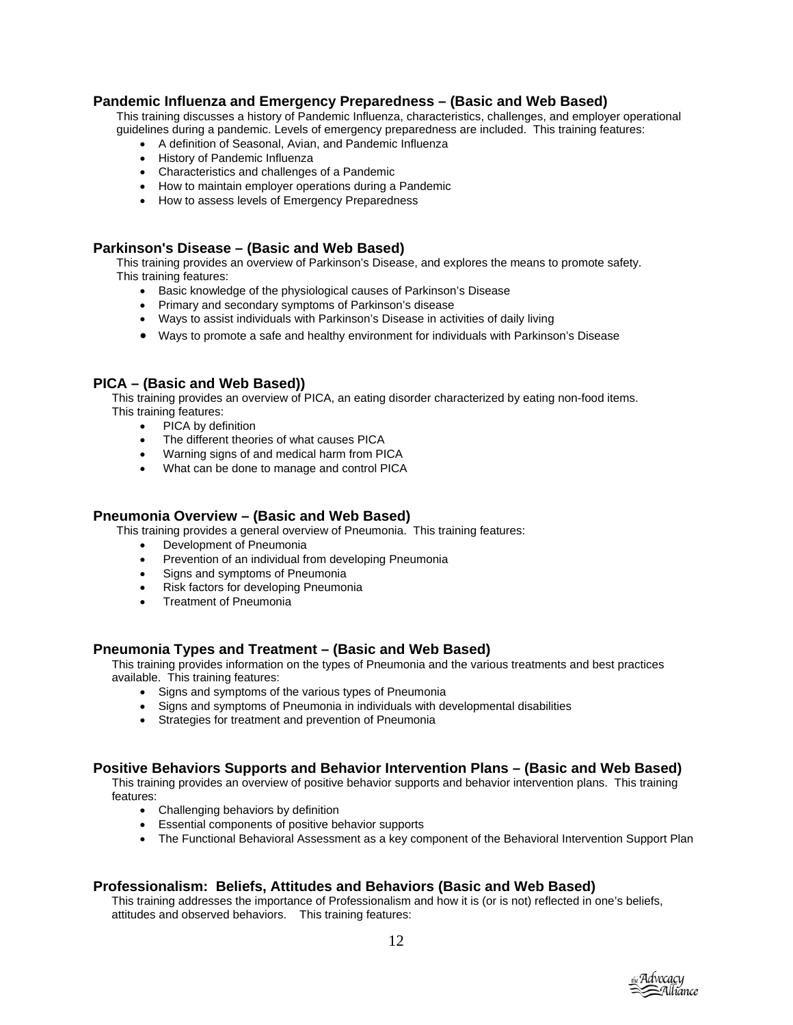## **Pandemic Influenza and Emergency Preparedness – (Basic and Web Based)**

This training discusses a history of Pandemic Influenza, characteristics, challenges, and employer operational guidelines during a pandemic. Levels of emergency preparedness are included. This training features:

- A definition of Seasonal, Avian, and Pandemic Influenza
- History of Pandemic Influenza
- Characteristics and challenges of a Pandemic
- How to maintain employer operations during a Pandemic
- How to assess levels of Emergency Preparedness

## **Parkinson's Disease – (Basic and Web Based)**

This training provides an overview of Parkinson's Disease, and explores the means to promote safety. This training features:

- Basic knowledge of the physiological causes of Parkinson's Disease
- Primary and secondary symptoms of Parkinson's disease
- Ways to assist individuals with Parkinson's Disease in activities of daily living
- Ways to promote a safe and healthy environment for individuals with Parkinson's Disease

#### **PICA – (Basic and Web Based))**

This training provides an overview of PICA, an eating disorder characterized by eating non-food items. This training features:

- PICA by definition
- The different theories of what causes PICA
- Warning signs of and medical harm from PICA
- What can be done to manage and control PICA

#### **Pneumonia Overview – (Basic and Web Based)**

This training provides a general overview of Pneumonia. This training features:

- Development of Pneumonia<br>• Prevention of an individual fr
- Prevention of an individual from developing Pneumonia
- Signs and symptoms of Pneumonia
- Risk factors for developing Pneumonia
- Treatment of Pneumonia

#### **Pneumonia Types and Treatment – (Basic and Web Based)**

This training provides information on the types of Pneumonia and the various treatments and best practices available. This training features:

- Signs and symptoms of the various types of Pneumonia
- Signs and symptoms of Pneumonia in individuals with developmental disabilities
- Strategies for treatment and prevention of Pneumonia

#### **Positive Behaviors Supports and Behavior Intervention Plans – (Basic and Web Based)**

This training provides an overview of positive behavior supports and behavior intervention plans. This training features:

- Challenging behaviors by definition
- Essential components of positive behavior supports
- The Functional Behavioral Assessment as a key component of the Behavioral Intervention Support Plan

#### **Professionalism: Beliefs, Attitudes and Behaviors (Basic and Web Based)**

This training addresses the importance of Professionalism and how it is (or is not) reflected in one's beliefs, attitudes and observed behaviors. This training features:

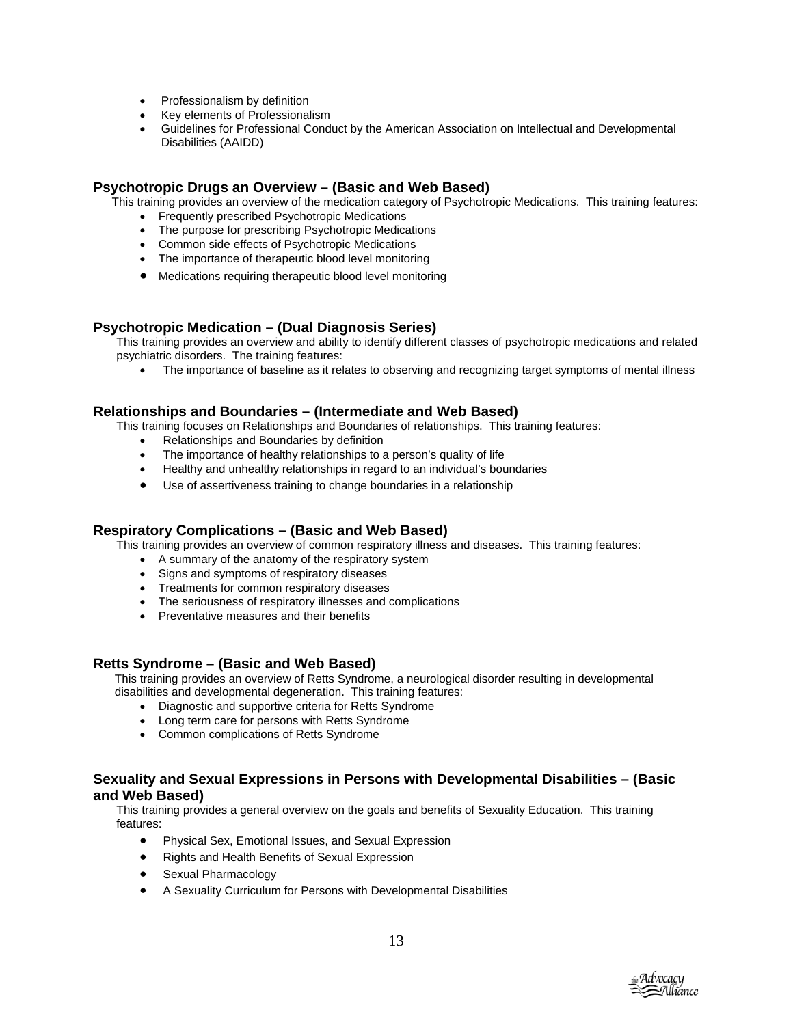- Professionalism by definition
- Key elements of Professionalism
- Guidelines for Professional Conduct by the American Association on Intellectual and Developmental Disabilities (AAIDD)

## **Psychotropic Drugs an Overview – (Basic and Web Based)**

This training provides an overview of the medication category of Psychotropic Medications. This training features:

- Frequently prescribed Psychotropic Medications
- The purpose for prescribing Psychotropic Medications
- Common side effects of Psychotropic Medications
- The importance of therapeutic blood level monitoring
- Medications requiring therapeutic blood level monitoring

## **Psychotropic Medication – (Dual Diagnosis Series)**

This training provides an overview and ability to identify different classes of psychotropic medications and related psychiatric disorders. The training features:

• The importance of baseline as it relates to observing and recognizing target symptoms of mental illness

## **Relationships and Boundaries – (Intermediate and Web Based)**

This training focuses on Relationships and Boundaries of relationships. This training features:

- Relationships and Boundaries by definition
- The importance of healthy relationships to a person's quality of life
- Healthy and unhealthy relationships in regard to an individual's boundaries
- Use of assertiveness training to change boundaries in a relationship

#### **Respiratory Complications – (Basic and Web Based)**

This training provides an overview of common respiratory illness and diseases. This training features:

- A summary of the anatomy of the respiratory system
- Signs and symptoms of respiratory diseases
- Treatments for common respiratory diseases
- The seriousness of respiratory illnesses and complications
- Preventative measures and their benefits

#### **Retts Syndrome – (Basic and Web Based)**

This training provides an overview of Retts Syndrome, a neurological disorder resulting in developmental disabilities and developmental degeneration. This training features:

- Diagnostic and supportive criteria for Retts Syndrome
- Long term care for persons with Retts Syndrome
- Common complications of Retts Syndrome

## **Sexuality and Sexual Expressions in Persons with Developmental Disabilities – (Basic and Web Based)**

This training provides a general overview on the goals and benefits of Sexuality Education. This training features:

- Physical Sex, Emotional Issues, and Sexual Expression
- Rights and Health Benefits of Sexual Expression
- Sexual Pharmacology
- A Sexuality Curriculum for Persons with Developmental Disabilities

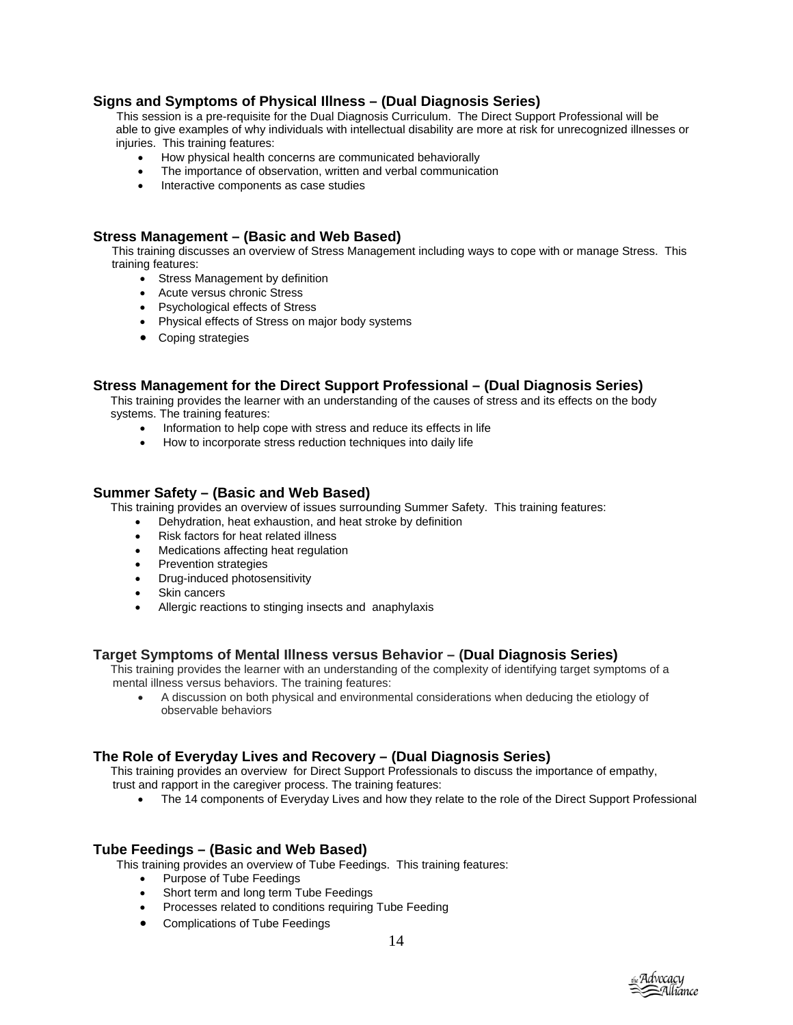## **Signs and Symptoms of Physical Illness – (Dual Diagnosis Series)**

This session is a pre-requisite for the Dual Diagnosis Curriculum. The Direct Support Professional will be able to give examples of why individuals with intellectual disability are more at risk for unrecognized illnesses or injuries. This training features:

- How physical health concerns are communicated behaviorally
- The importance of observation, written and verbal communication
- Interactive components as case studies

#### **Stress Management – (Basic and Web Based)**

This training discusses an overview of Stress Management including ways to cope with or manage Stress. This training features:

- Stress Management by definition
- Acute versus chronic Stress
- Psychological effects of Stress
- Physical effects of Stress on major body systems
- Coping strategies

#### **Stress Management for the Direct Support Professional – (Dual Diagnosis Series)**

This training provides the learner with an understanding of the causes of stress and its effects on the body systems. The training features:

- Information to help cope with stress and reduce its effects in life
- How to incorporate stress reduction techniques into daily life

#### **Summer Safety – (Basic and Web Based)**

This training provides an overview of issues surrounding Summer Safety. This training features:

- Dehydration, heat exhaustion, and heat stroke by definition
- Risk factors for heat related illness
- Medications affecting heat regulation
- Prevention strategies
- Drug-induced photosensitivity
- Skin cancers
- Allergic reactions to stinging insects and anaphylaxis

## **Target Symptoms of Mental Illness versus Behavior – (Dual Diagnosis Series)**

This training provides the learner with an understanding of the complexity of identifying target symptoms of a mental illness versus behaviors. The training features:

• A discussion on both physical and environmental considerations when deducing the etiology of observable behaviors

## **The Role of Everyday Lives and Recovery – (Dual Diagnosis Series)**

This training provides an overview for Direct Support Professionals to discuss the importance of empathy, trust and rapport in the caregiver process. The training features:

- 
- The 14 components of Everyday Lives and how they relate to the role of the Direct Support Professional

## **Tube Feedings – (Basic and Web Based)**

This training provides an overview of Tube Feedings. This training features:

- Purpose of Tube Feedings
- Short term and long term Tube Feedings
- Processes related to conditions requiring Tube Feeding
- Complications of Tube Feedings

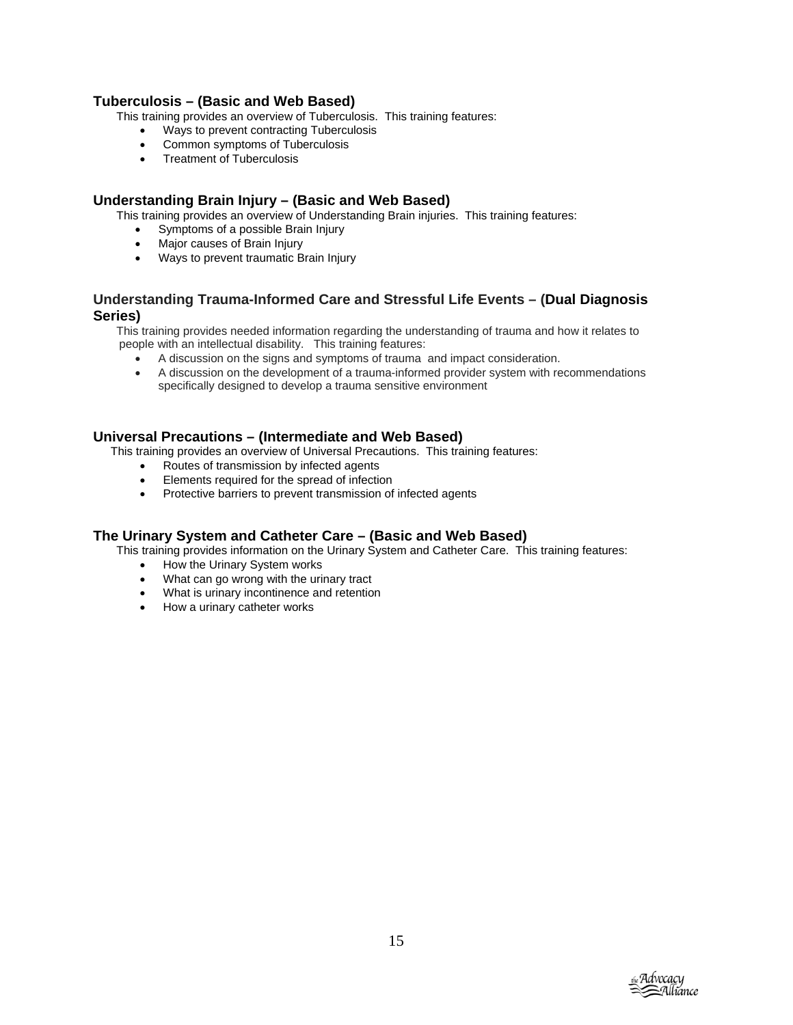## **Tuberculosis – (Basic and Web Based)**

This training provides an overview of Tuberculosis. This training features:

- Ways to prevent contracting Tuberculosis
- Common symptoms of Tuberculosis
- Treatment of Tuberculosis

## **Understanding Brain Injury – (Basic and Web Based)**

This training provides an overview of Understanding Brain injuries. This training features:

- Symptoms of a possible Brain Injury
- Major causes of Brain Injury
- Ways to prevent traumatic Brain Injury

## **Understanding Trauma-Informed Care and Stressful Life Events – (Dual Diagnosis Series)**

This training provides needed information regarding the understanding of trauma and how it relates to people with an intellectual disability. This training features:

- A discussion on the signs and symptoms of trauma and impact consideration.
- A discussion on the development of a trauma-informed provider system with recommendations specifically designed to develop a trauma sensitive environment

## **Universal Precautions – (Intermediate and Web Based)**

This training provides an overview of Universal Precautions. This training features:

- Routes of transmission by infected agents
- Elements required for the spread of infection
- Protective barriers to prevent transmission of infected agents

#### **The Urinary System and Catheter Care – (Basic and Web Based)**

This training provides information on the Urinary System and Catheter Care. This training features:

- How the Urinary System works
- What can go wrong with the urinary tract
- What is urinary incontinence and retention
- How a urinary catheter works

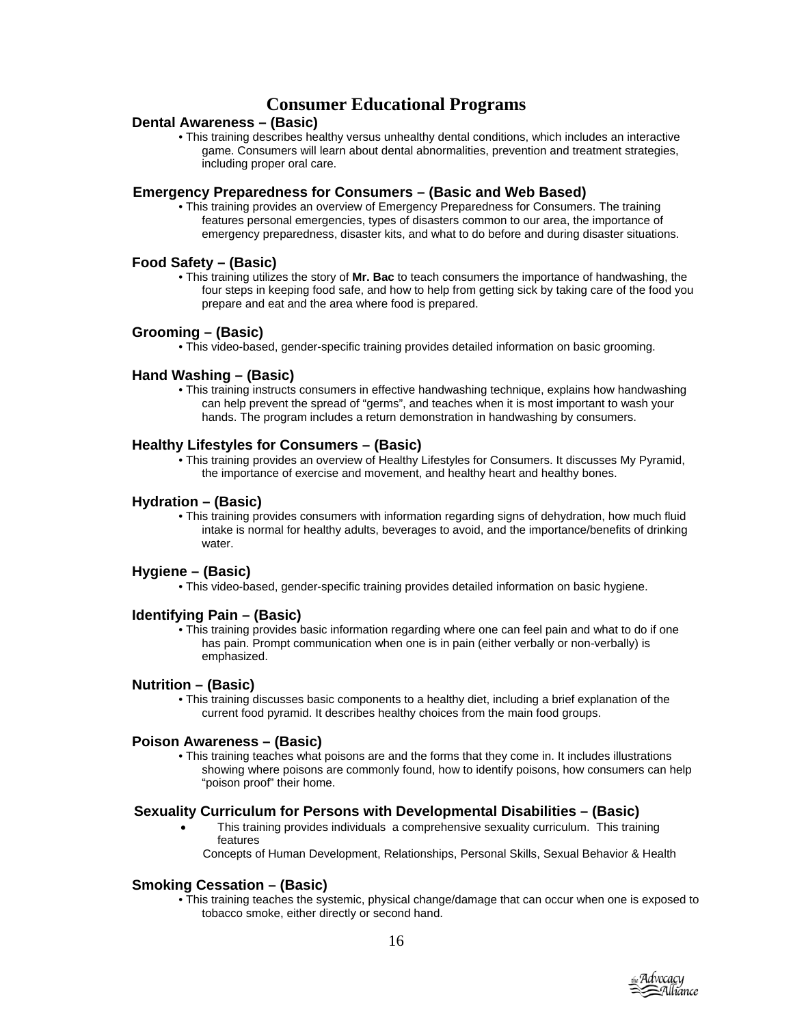# **Consumer Educational Programs**

## **Dental Awareness – (Basic)**

• This training describes healthy versus unhealthy dental conditions, which includes an interactive game. Consumers will learn about dental abnormalities, prevention and treatment strategies, including proper oral care.

#### **Emergency Preparedness for Consumers – (Basic and Web Based)**

• This training provides an overview of Emergency Preparedness for Consumers. The training features personal emergencies, types of disasters common to our area, the importance of emergency preparedness, disaster kits, and what to do before and during disaster situations.

## **Food Safety – (Basic)**

• This training utilizes the story of **Mr. Bac** to teach consumers the importance of handwashing, the four steps in keeping food safe, and how to help from getting sick by taking care of the food you prepare and eat and the area where food is prepared.

## **Grooming – (Basic)**

• This video-based, gender-specific training provides detailed information on basic grooming.

## **Hand Washing – (Basic)**

• This training instructs consumers in effective handwashing technique, explains how handwashing can help prevent the spread of "germs", and teaches when it is most important to wash your hands. The program includes a return demonstration in handwashing by consumers.

## **Healthy Lifestyles for Consumers – (Basic)**

• This training provides an overview of Healthy Lifestyles for Consumers. It discusses My Pyramid, the importance of exercise and movement, and healthy heart and healthy bones.

## **Hydration – (Basic)**

• This training provides consumers with information regarding signs of dehydration, how much fluid intake is normal for healthy adults, beverages to avoid, and the importance/benefits of drinking water.

## **Hygiene – (Basic)**

• This video-based, gender-specific training provides detailed information on basic hygiene.

## **Identifying Pain – (Basic)**

• This training provides basic information regarding where one can feel pain and what to do if one has pain. Prompt communication when one is in pain (either verbally or non-verbally) is emphasized.

#### **Nutrition – (Basic)**

• This training discusses basic components to a healthy diet, including a brief explanation of the current food pyramid. It describes healthy choices from the main food groups.

#### **Poison Awareness – (Basic)**

• This training teaches what poisons are and the forms that they come in. It includes illustrations showing where poisons are commonly found, how to identify poisons, how consumers can help "poison proof" their home.

## **Sexuality Curriculum for Persons with Developmental Disabilities – (Basic)**

- This training provides individuals a comprehensive sexuality curriculum. This training features
- Concepts of Human Development, Relationships, Personal Skills, Sexual Behavior & Health

## **Smokin g Cessation – (Basic)**

• This training teaches the systemic, physical change/damage that can occur when one is exposed to tobacco smoke, either directly or second hand.